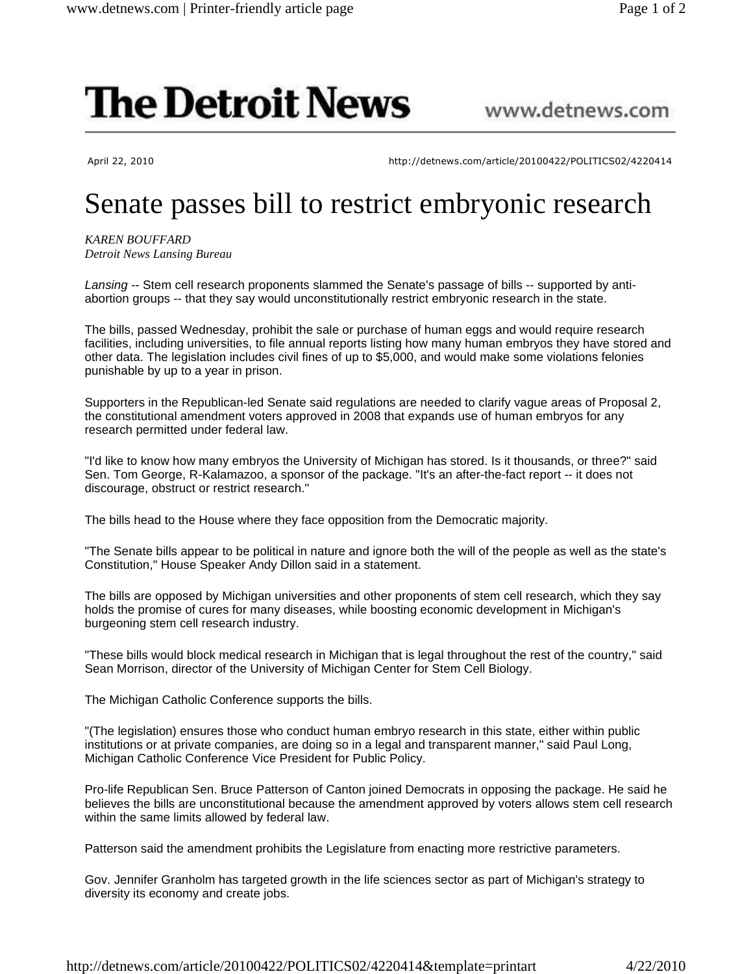## **The Detroit News**

## www.detnews.com

April 22, 2010 http://detnews.com/article/20100422/POLITICS02/4220414

## Senate passes bill to restrict embryonic research

*KAREN BOUFFARD Detroit News Lansing Bureau*

Lansing -- Stem cell research proponents slammed the Senate's passage of bills -- supported by antiabortion groups -- that they say would unconstitutionally restrict embryonic research in the state.

The bills, passed Wednesday, prohibit the sale or purchase of human eggs and would require research facilities, including universities, to file annual reports listing how many human embryos they have stored and other data. The legislation includes civil fines of up to \$5,000, and would make some violations felonies punishable by up to a year in prison.

Supporters in the Republican-led Senate said regulations are needed to clarify vague areas of Proposal 2, the constitutional amendment voters approved in 2008 that expands use of human embryos for any research permitted under federal law.

"I'd like to know how many embryos the University of Michigan has stored. Is it thousands, or three?" said Sen. Tom George, R-Kalamazoo, a sponsor of the package. "It's an after-the-fact report -- it does not discourage, obstruct or restrict research."

The bills head to the House where they face opposition from the Democratic majority.

"The Senate bills appear to be political in nature and ignore both the will of the people as well as the state's Constitution," House Speaker Andy Dillon said in a statement.

The bills are opposed by Michigan universities and other proponents of stem cell research, which they say holds the promise of cures for many diseases, while boosting economic development in Michigan's burgeoning stem cell research industry.

"These bills would block medical research in Michigan that is legal throughout the rest of the country," said Sean Morrison, director of the University of Michigan Center for Stem Cell Biology.

The Michigan Catholic Conference supports the bills.

"(The legislation) ensures those who conduct human embryo research in this state, either within public institutions or at private companies, are doing so in a legal and transparent manner," said Paul Long, Michigan Catholic Conference Vice President for Public Policy.

Pro-life Republican Sen. Bruce Patterson of Canton joined Democrats in opposing the package. He said he believes the bills are unconstitutional because the amendment approved by voters allows stem cell research within the same limits allowed by federal law.

Patterson said the amendment prohibits the Legislature from enacting more restrictive parameters.

Gov. Jennifer Granholm has targeted growth in the life sciences sector as part of Michigan's strategy to diversity its economy and create jobs.